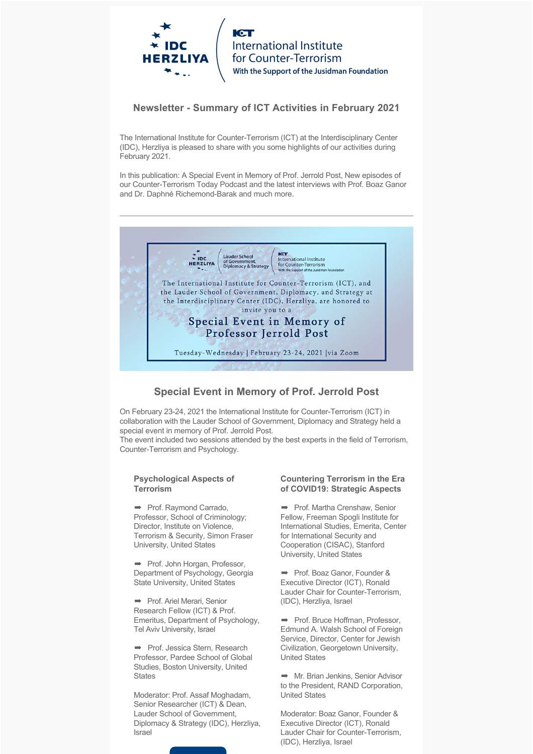

**International Institute** for Counter-Terrorism With the Support of the Jusidman Foundation

## **Newsletter - Summary of ICT Activities in February 2021**

The International Institute for Counter-Terrorism (ICT) at the Interdisciplinary Center (IDC), Herzliya is pleased to share with you some highlights of our activities during February 2021.

In this publication: A Special Event in Memory of Prof. Jerrold Post, New episodes of our Counter-Terrorism Today Podcast and the latest interviews with Prof. Boaz Ganor and Dr. Daphné Richemond-Barak and much more.



## **Special Event in Memory of Prof. Jerrold Post**

On February 23-24, 2021 the International Institute for Counter-Terrorism (ICT) in collaboration with the Lauder School of Government, Diplomacy and Strategy held a special event in memory of Prof. Jerrold Post.

The event included two sessions attended by the best experts in the field of Terrorism, Counter-Terrorism and Psychology.

#### **Psychological Aspects of Terrorism**

➡ Prof. Raymond Carrado, Professor, School of Criminology; Director, Institute on Violence, Terrorism & Security, Simon Fraser University, United States

➡ Prof. John Horgan, Professor, Department of Psychology, Georgia State University, United States

➡ Prof. Ariel Merari, Senior Research Fellow (ICT) & Prof. Emeritus, Department of Psychology, Tel Aviv University, Israel

➡ Prof. Jessica Stern, Research Professor, Pardee School of Global Studies, Boston University, United **States** 

Moderator: Prof. Assaf Moghadam, Senior Researcher (ICT) & Dean, Lauder School of Government, Diplomacy & Strategy (IDC), Herzliya, Israel

### **Countering Terrorism in the Era of COVID19: Strategic Aspects**

➡ Prof. Martha Crenshaw, Senior Fellow, Freeman Spogli Institute for International Studies, Emerita, Center for International Security and Cooperation (CISAC), Stanford University, United States

➡ Prof. Boaz Ganor, Founder & Executive Director (ICT), Ronald Lauder Chair for Counter-Terrorism, (IDC), Herzliya, Israel

➡ Prof. Bruce Hoffman, Professor, Edmund A. Walsh School of Foreign Service, Director, Center for Jewish Civilization, Georgetown University, United States

**→** Mr. Brian Jenkins, Senior Advisor to the President, RAND Corporation, United States

Moderator: Boaz Ganor, Founder & Executive Director (ICT), Ronald Lauder Chair for Counter-Terrorism, (IDC), Herzliya, Israel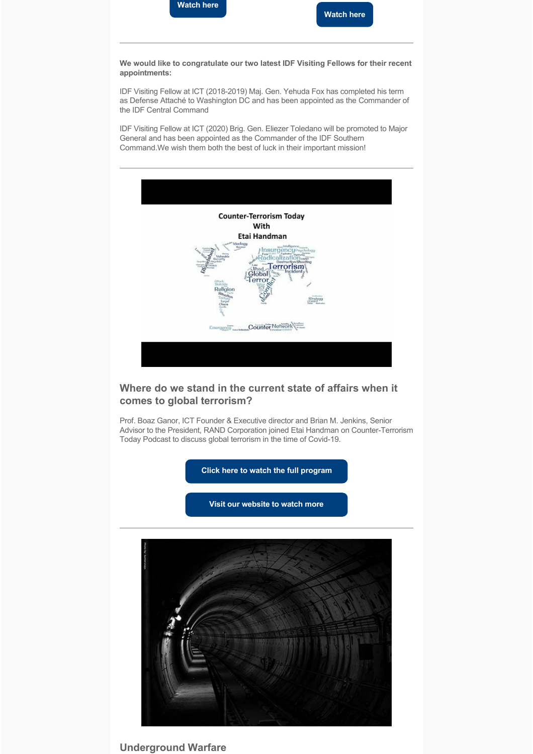

**We would like to congratulate our two latest IDF Visiting Fellows for their recent appointments:**

IDF Visiting Fellow at ICT (2018-2019) Maj. Gen. Yehuda Fox has completed his term as Defense Attaché to Washington DC and has been appointed as the Commander of the IDF Central Command

IDF Visiting Fellow at ICT (2020) Brig. Gen. Eliezer Toledano will be promoted to Major General and has been appointed as the Commander of the IDF Southern Command.We wish them both the best of luck in their important mission!



# **Where do we stand in the current state of affairs when it comes to global terrorism?**

Prof. Boaz Ganor, ICT Founder & Executive director and Brian M. Jenkins, Senior Advisor to the President, RAND Corporation joined Etai Handman on Counter-Terrorism Today Podcast to discuss global terrorism in the time of Covid-19.

**[Click here to watch the full program](https://www.youtube.com/watch?v=kBgNDP-gjzQ&feature=youtu.be)**

**[Visit our website to watch more](https://www.ict.org.il/Articles.aspx?WordID=140#gsc.tab=0)**



**Underground Warfare**